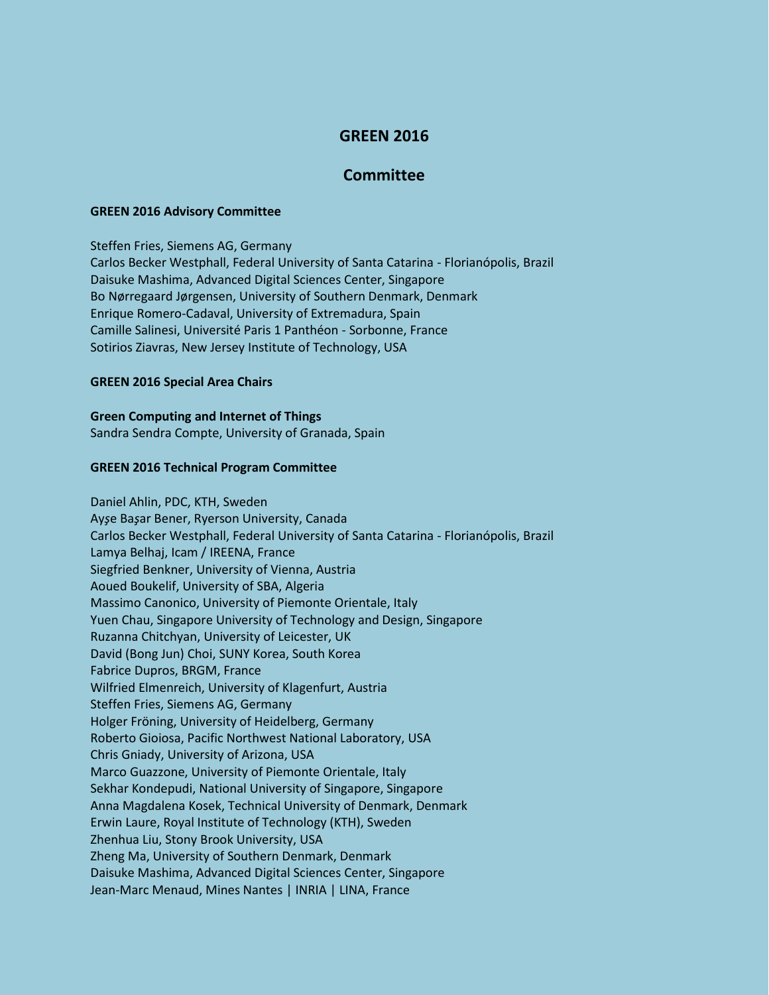# **GREEN 2016**

## **Committee**

#### **GREEN 2016 Advisory Committee**

Steffen Fries, Siemens AG, Germany Carlos Becker Westphall, Federal University of Santa Catarina - Florianópolis, Brazil Daisuke Mashima, Advanced Digital Sciences Center, Singapore Bo Nørregaard Jørgensen, University of Southern Denmark, Denmark Enrique Romero-Cadaval, University of Extremadura, Spain Camille Salinesi, Université Paris 1 Panthéon - Sorbonne, France Sotirios Ziavras, New Jersey Institute of Technology, USA

#### **GREEN 2016 Special Area Chairs**

### **Green Computing and Internet of Things**

Sandra Sendra Compte, University of Granada, Spain

#### **GREEN 2016 Technical Program Committee**

Daniel Ahlin, PDC, KTH, Sweden Ay*ş*e Ba*ş*ar Bener, Ryerson University, Canada Carlos Becker Westphall, Federal University of Santa Catarina - Florianópolis, Brazil Lamya Belhaj, Icam / IREENA, France Siegfried Benkner, University of Vienna, Austria Aoued Boukelif, University of SBA, Algeria Massimo Canonico, University of Piemonte Orientale, Italy Yuen Chau, Singapore University of Technology and Design, Singapore Ruzanna Chitchyan, University of Leicester, UK David (Bong Jun) Choi, SUNY Korea, South Korea Fabrice Dupros, BRGM, France Wilfried Elmenreich, University of Klagenfurt, Austria Steffen Fries, Siemens AG, Germany Holger Fröning, University of Heidelberg, Germany Roberto Gioiosa, Pacific Northwest National Laboratory, USA Chris Gniady, University of Arizona, USA Marco Guazzone, University of Piemonte Orientale, Italy Sekhar Kondepudi, National University of Singapore, Singapore Anna Magdalena Kosek, Technical University of Denmark, Denmark Erwin Laure, Royal Institute of Technology (KTH), Sweden Zhenhua Liu, Stony Brook University, USA Zheng Ma, University of Southern Denmark, Denmark Daisuke Mashima, Advanced Digital Sciences Center, Singapore Jean-Marc Menaud, Mines Nantes | INRIA | LINA, France